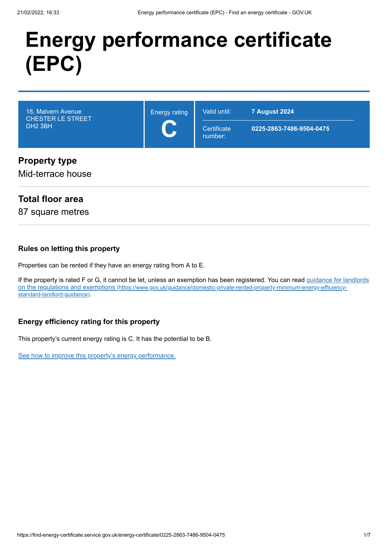# **Energy performance certificate (EPC)**



# Mid-terrace house

# **Total floor area**

87 square metres

### **Rules on letting this property**

Properties can be rented if they have an energy rating from A to E.

[If the property is rated F or G, it cannot be let, unless an exemption has been registered. You can read guidance for landlords](https://www.gov.uk/guidance/domestic-private-rented-property-minimum-energy-efficiency-standard-landlord-guidance) on the regulations and exemptions (https://www.gov.uk/guidance/domestic-private-rented-property-minimum-energy-efficiencystandard-landlord-guidance).

# **Energy efficiency rating for this property**

This property's current energy rating is C. It has the potential to be B.

[See how to improve this property's energy performance.](#page-3-0)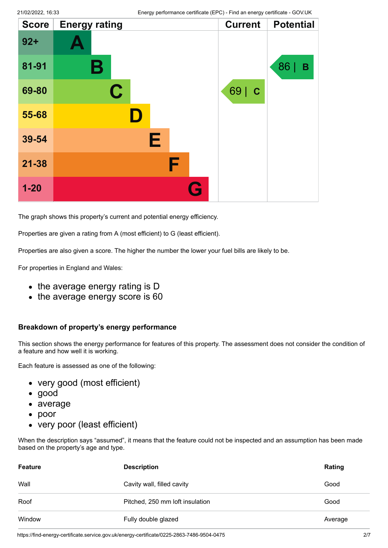| <b>Score</b> | <b>Energy rating</b> |   | <b>Current</b> | <b>Potential</b> |
|--------------|----------------------|---|----------------|------------------|
| $92 +$       |                      |   |                |                  |
| 81-91        | Β                    |   |                | 86  <br>B        |
| 69-80        | $\mathbf C$          |   | 69   C         |                  |
| 55-68        | D                    |   |                |                  |
| 39-54        | Е                    |   |                |                  |
| $21 - 38$    |                      | F |                |                  |
| $1 - 20$     |                      | G |                |                  |

The graph shows this property's current and potential energy efficiency.

Properties are given a rating from A (most efficient) to G (least efficient).

Properties are also given a score. The higher the number the lower your fuel bills are likely to be.

For properties in England and Wales:

- the average energy rating is D
- the average energy score is 60

#### **Breakdown of property's energy performance**

This section shows the energy performance for features of this property. The assessment does not consider the condition of a feature and how well it is working.

Each feature is assessed as one of the following:

- very good (most efficient)
- good
- average
- poor
- very poor (least efficient)

When the description says "assumed", it means that the feature could not be inspected and an assumption has been made based on the property's age and type.

| <b>Feature</b> | <b>Description</b>              | Rating  |
|----------------|---------------------------------|---------|
| Wall           | Cavity wall, filled cavity      | Good    |
| Roof           | Pitched, 250 mm loft insulation | Good    |
| Window         | Fully double glazed             | Average |

https://find-energy-certificate.service.gov.uk/energy-certificate/0225-2863-7486-9504-0475 2/7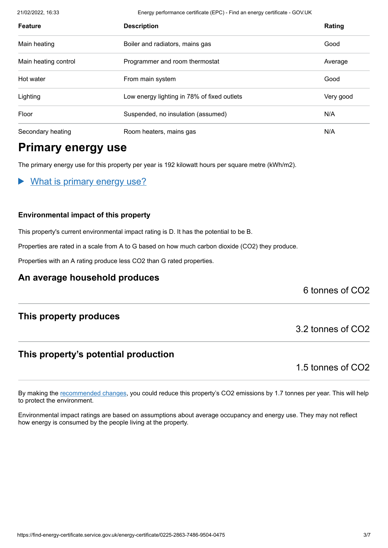21/02/2022, 16:33 Energy performance certificate (EPC) - Find an energy certificate - GOV.UK

| <b>Feature</b>       | <b>Description</b>                          | Rating    |
|----------------------|---------------------------------------------|-----------|
| Main heating         | Boiler and radiators, mains gas             | Good      |
| Main heating control | Programmer and room thermostat              | Average   |
| Hot water            | From main system                            | Good      |
| Lighting             | Low energy lighting in 78% of fixed outlets | Very good |
| Floor                | Suspended, no insulation (assumed)          | N/A       |
| Secondary heating    | Room heaters, mains gas                     | N/A       |

# **Primary energy use**

The primary energy use for this property per year is 192 kilowatt hours per square metre (kWh/m2).

What is primary energy use?

### **Environmental impact of this property**

This property's current environmental impact rating is D. It has the potential to be B.

Properties are rated in a scale from A to G based on how much carbon dioxide (CO2) they produce.

Properties with an A rating produce less CO2 than G rated properties.

# **An average household produces**

6 tonnes of CO2

# **This property produces**

# **This property's potential production**

1.5 tonnes of CO2

3.2 tonnes of CO2

By making the [recommended changes](#page-3-0), you could reduce this property's CO2 emissions by 1.7 tonnes per year. This will help to protect the environment.

Environmental impact ratings are based on assumptions about average occupancy and energy use. They may not reflect how energy is consumed by the people living at the property.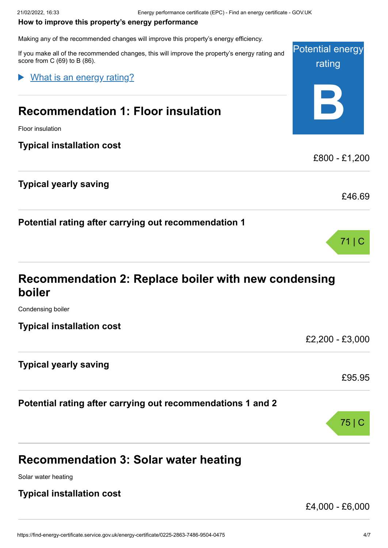#### <span id="page-3-0"></span>**How to improve this property's energy performance**

Making any of the recommended changes will improve this property's energy efficiency.

Potential energy rating **B** If you make all of the recommended changes, this will improve the property's energy rating and score from C (69) to B (86). **Recommendation 1: Floor insulation** Floor insulation **Typical installation cost** £800 - £1,200 **Typical yearly saving** £46.69 **Potential rating after carrying out recommendation 1** 71 | C What is an energy rating?

# **Recommendation 2: Replace boiler with new condensing boiler**

Condensing boiler

**Typical installation cost**

£2,200 - £3,000

£95.95

75 | C

# **Typical yearly saving**

# **Potential rating after carrying out recommendations 1 and 2**

# **Recommendation 3: Solar water heating**

Solar water heating

# **Typical installation cost**

£4,000 - £6,000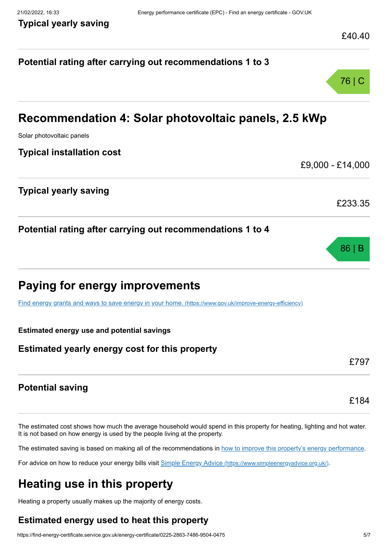# **Potential rating after carrying out recommendations 1 to 3** 76 | C **Recommendation 4: Solar photovoltaic panels, 2.5 kWp** Solar photovoltaic panels **Typical installation cost** £9,000 - £14,000 **Typical yearly saving** £233.35 **Potential rating after carrying out recommendations 1 to 4** 86 | B **Paying for energy improvements** [Find energy grants and ways to save energy in your home.](https://www.gov.uk/improve-energy-efficiency) (https://www.gov.uk/improve-energy-efficiency) **Estimated energy use and potential savings Estimated yearly energy cost for this property** £797 **Potential saving** £184

The estimated cost shows how much the average household would spend in this property for heating, lighting and hot water. It is not based on how energy is used by the people living at the property.

The estimated saving is based on making all of the recommendations in [how to improve this property's energy performance.](#page-3-0)

For advice on how to reduce your energy bills visit Simple Energy Advice [\(https://www.simpleenergyadvice.org.uk/\)](https://www.simpleenergyadvice.org.uk/).

# **Heating use in this property**

Heating a property usually makes up the majority of energy costs.

# **Estimated energy used to heat this property**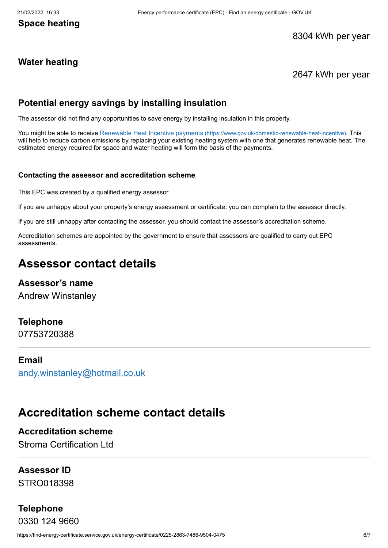# **Space heating**

8304 kWh per year

# **Water heating**

2647 kWh per year

# **Potential energy savings by installing insulation**

The assessor did not find any opportunities to save energy by installing insulation in this property.

You might be able to receive Renewable Heat Incentive payments [\(https://www.gov.uk/domestic-renewable-heat-incentive\)](https://www.gov.uk/domestic-renewable-heat-incentive). This will help to reduce carbon emissions by replacing your existing heating system with one that generates renewable heat. The estimated energy required for space and water heating will form the basis of the payments.

#### **Contacting the assessor and accreditation scheme**

This EPC was created by a qualified energy assessor.

If you are unhappy about your property's energy assessment or certificate, you can complain to the assessor directly.

If you are still unhappy after contacting the assessor, you should contact the assessor's accreditation scheme.

Accreditation schemes are appointed by the government to ensure that assessors are qualified to carry out EPC assessments.

# **Assessor contact details**

# **Assessor's name**

Andrew Winstanley

### **Telephone**

07753720388

## **Email**

[andy.winstanley@hotmail.co.uk](mailto:andy.winstanley@hotmail.co.uk)

# **Accreditation scheme contact details**

# **Accreditation scheme**

Stroma Certification Ltd

# **Assessor ID**

STRO018398

# **Telephone**

0330 124 9660